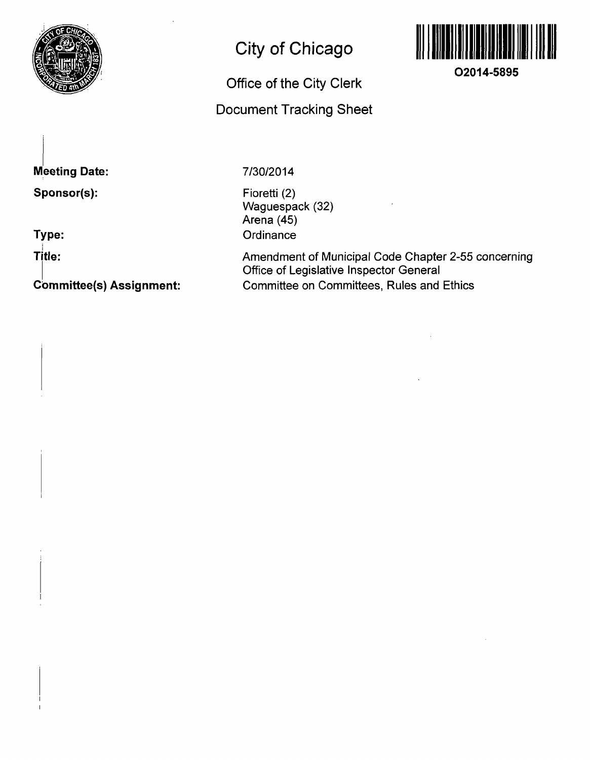

# **City of Chicago**

# **Office of the City Clerk Document Tracking Sheet**



**O2014-5895** 

**Meeting Date: Sponsor(s):** 

**Type:** 

**Title:** 

**Cbmmittee(s) Assignment:** 

7/30/2014

Fioretti (2) Waguespack (32) Arena (45) **Ordinance** 

Amendment of Municipal Code Chapter 2-55 concerning Office of Legislative Inspector General Committee on Committees, Rules and Ethics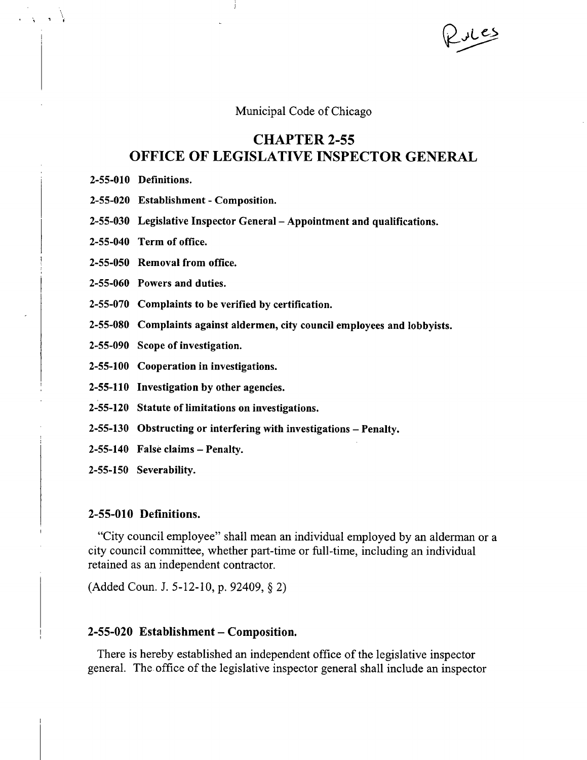Municipal Code of Chicago

# **CHAPTER 2-55 OFFICE OF LEGISLATIVE INSPECTOR GENERAL**

- 2-55-010 Definitions.
- 2-55-020 Establishment Composition.
- 2-55-030 Legislative Inspector General Appointment and qualifications.
- 2-55-040 Term of office.
- 2-55-050 Removal from office.
- 2-55-060 Powers and duties.
- 2-55-070 Complaints to be verified by certification.
- 2-55-080 Complaints against aldermen, city council employees and lobbyists.
- 2-55-090 Scope of investigation.
- 2-55-100 Cooperation in investigations.
- 2-55-110 Investigation by other agencies.
- 2-55-120 Statute of limitations on investigations.
- 2-55-130 Obstructing or interfering with investigations Penalty.
- $2-55-140$  False claims Penalty.
- 2-55-150 Severability.

### 2-55-010 Definitions.

"City council employee" shall mean an individual employed by an alderman or a city council committee, whether part-time or full-time, including an individual retained as an independent contractor.

(Added Coun. J. 5-12-10, p. 92409, § 2)

#### 2-55-020 Establishment – Composition.

There is hereby established an independent office of the legislative inspector general. The office of the legislative inspector general shall include an inspector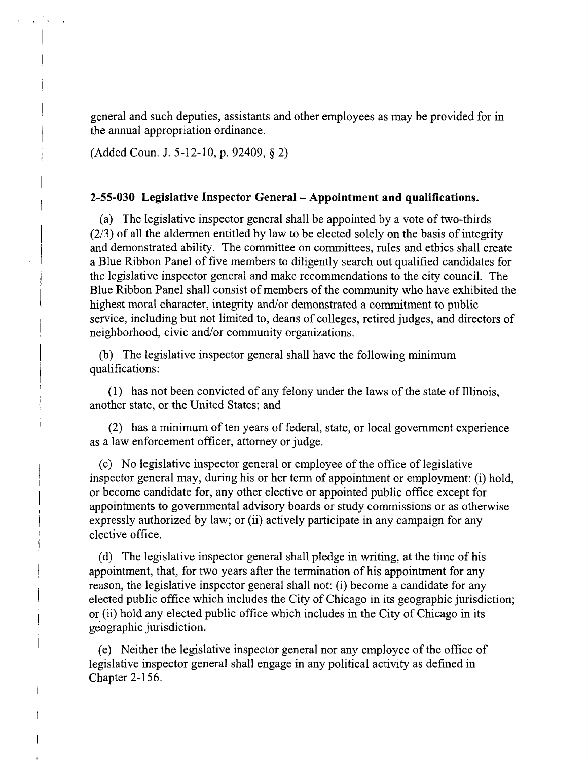general and such deputies, assistants and other employees as may be provided for in the annual appropriation ordinance.

(Added Coun. J. 5-12-10, p. 92409, § 2)

# **2-55-030 Legislative Inspector General - Appointment and qualifications.**

(a) The legislative inspector general shall be appointed by a vote of two-thirds (2/3) of all the aldermen entitled by law to be elected solely on the basis of integrity and demonstrated ability. The committee on committees, rules and ethics shall create a Blue Ribbon Panel of five members to diligently search out qualified candidates for the legislative inspector general and make recommendations to the city council. The Blue Ribbon Panel shall consist of members of the community who have exhibited the highest moral character, integrity and/or demonstrated a commitment to public service, including but not limited to, deans of colleges, retired judges, and directors of neighborhood, civic and/or community organizations.

(b) The legislative inspector general shall have the following minimum qualifications:

(1) has not been convicted of any felony under the laws of the state of Illinois, another state, or the United States; and

(2) has a minimum of ten years of federal, state, or local govemment experience as a law enforcement officer, attomey or judge.

(c) No legislative inspector general or employee of the office of legislative inspector general may, during his or her term of appointment or employment: (i) hold, or become candidate for, any other elective or appointed public office except for appointments to govemmental advisory boards or study commissions or as otherwise expressly authorized by law; or (ii) actively participate in any campaign for any elective office.

(d) The legislative inspector general shall pledge in writing, at the time of his appointment, that, for two years after the termination of his appointment for any reason, the legislative inspector general shall not: (i) become a candidate for any elected public office which includes the City of Chicago in its geographic jurisdiction; or (ii) hold any elected public office which includes in the City of Chicago in its geographic jurisdiction.

(e) Neither the legislative inspector general nor any employee of the office of legislative inspector general shall engage in any political activity as defined in Chapter 2-156.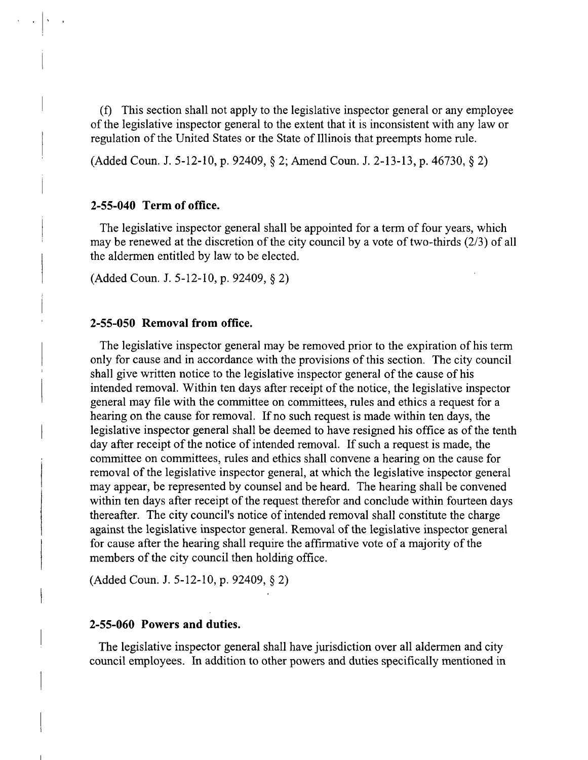(f) This section shall not apply to the legislative inspector general or any employee of the legislative inspector general to the extent that it is inconsistent with any law or regulation of the United States or the State of Illinois that preempts home rule.

(Added Coun. J. 5-12-10, p. 92409, § 2; Amend Coun. J. 2-13-13, p. 46730, § 2)

# 2-55-040 Term of office.

The legislative inspector general shall be appointed for a term of four years, which may be renewed at the discretion of the city council by a vote of two-thirds (2/3) of all the aldermen entitled by law to be elected.

(Added Coun. J. 5-12-10, p. 92409, § 2)

#### **2-55-050 Removal from office.**

The legislative inspector general may be removed prior to the expiration of his term only for cause and in accordance with the provisions of this section. The city council shall give written notice to the legislative inspector general of the cause of his intended removal. Within ten days after receipt of the notice, the legislative inspector general may file with the committee on committees, rules and ethics a request for a hearing on the cause for removal. If no such request is made within ten days, the legislative inspector general shall be deemed to have resigned his office as of the tenth day after receipt of the notice of intended removal. If such a request is made, the committee on committees, rules and ethics shall convene a hearing on the cause for removal of the legislative inspector general, at which the legislative inspector general may appear, be represented by counsel and be heard. The hearing shall be convened within ten days after receipt of the request therefor and conclude within fourteen days thereafter. The city council's notice of intended removal shall constitute the charge against the legislative inspector general. Removal of the legislative inspector general for cause after the hearing shall require the affirmative vote of a majority of the members of the city council then holding office.

(Added Coun. J. 5-12-10, p. 92409, § 2)

#### **2-55-060 Powers and duties.**

The legislative inspector general shall have jurisdiction over all aldermen and city council employees. In addition to other powers and duties specifically mentioned in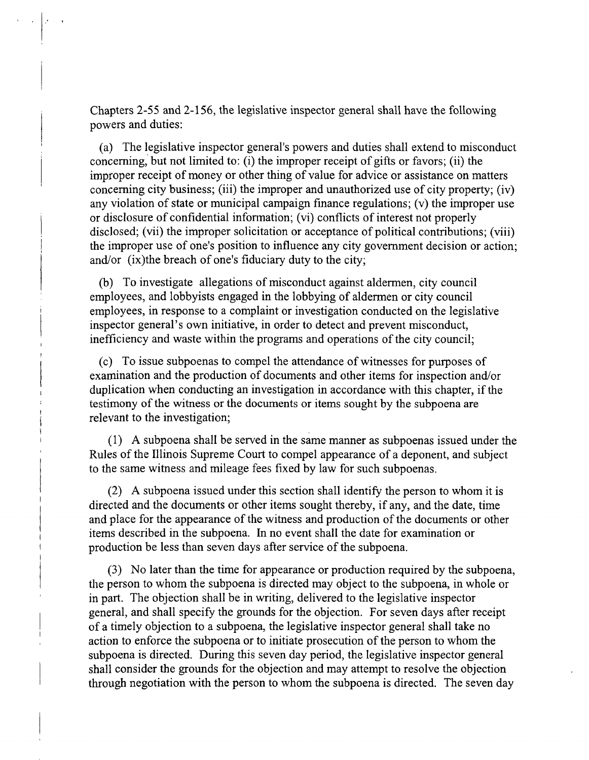Chapters 2-55 and 2-156, the legislative inspector general shall have the following powers and duties:

(a) The legislative inspector general's powers and duties shall extend to misconduct conceming, but not limited to: (i) the improper receipt of gifts or favors; (ii) the improper receipt of money or other thing of value for advice or assistance on matters conceming city business; (iii) the improper and unauthorized use of city property; (iv) any violation of state or municipal campaign finance regulations; (v) the improper use or disclosure of confidential infonnation; (vi) conflicts of interest not properly disclosed; (vii) the improper solicitation or acceptance of political contributions; (viii) the improper use of one's position to influence any city govemment decision or action; and/or (ix)the breach of one's fiduciary duty to the city;

(b) To investigate allegations of misconduct against aldermen, city council employees, and lobbyists engaged in the lobbying of aldermen or city council employees, in response to a complaint or investigation conducted on the legislative inspector general's own initiative, in order to detect and prevent misconduct, inefficiency and waste within the programs and operations of the city council;

(c) To issue subpoenas to compel the attendance of witnesses for purposes of examination and the production of documents and other items for inspection and/or duplication when conducting an investigation in accordance with this chapter, if the testimony of the witness or the documents or items sought by the subpoena are relevant to the investigation;

(1) A subpoena shall be served in the same manner as subpoenas issued under the Rules of the Illinois Supreme Court to compel appearance of a deponent, and subject to the same witness and mileage fees fixed by law for such subpoenas.

(2) A subpoena issued under this section shall identify the person to whom it is directed and the documents or other items sought thereby, if any, and the date, time and place for the appearance of the witness and production of the documents or other items described in the subpoena. In no event shall the date for examination or production be less than seven days after service of the subpoena.

(3) No later than the time for appearance or production required by the subpoena, the person to whom the subpoena is directed may object to the subpoena, in whole or in part. The objection shall be in writing, delivered to the legislative inspector general, and shall specify the grounds for the objection. For seven days after receipt of a timely objection to a subpoena, the legislative inspector general shall take no action to enforce the subpoena or to initiate prosecution of the person to whom the subpoena is directed. During this seven day period, the legislative inspector general shall consider the grounds for the objection and may attempt to resolve the objection through negotiation with the person to whom the subpoena is directed. The seven day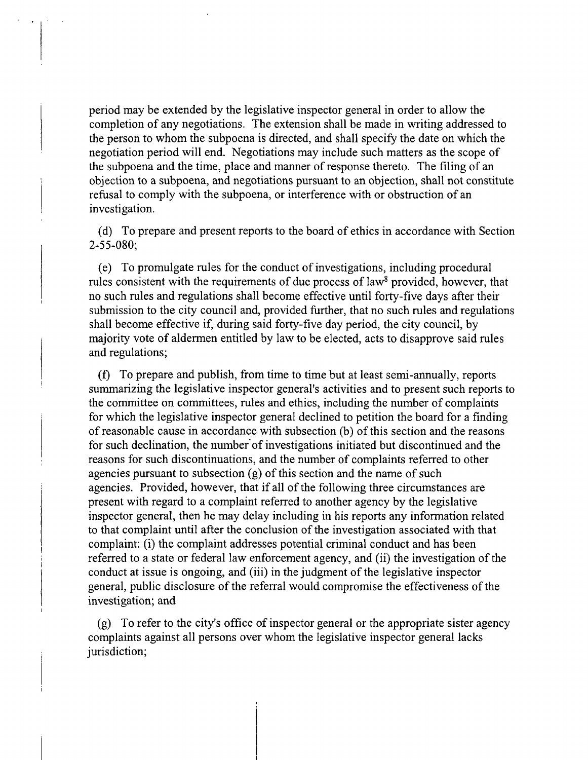period may be extended by the legislative inspector general in order to allow the completion of any negotiations. The extension shall be made in writing addressed to the person to whom the subpoena is directed, and shall specify the date on which the negotiation period will end. Negotiations may include such matters as the scope of the subpoena and the time, place and manner of response thereto. The filing of an objection to a subpoena, and negotiations pursuant to an objection, shall not constitute refusal to comply with the subpoena, or interference with or obstruction of an investigation.

(d) To prepare and present reports to the board of ethics in accordance with Section 2-55-080;

(e) To promulgate rules for the conduct of investigations, including procedural rules consistent with the requirements of due process of law<sup>8</sup> provided, however, that no such mles and regulations shall become effective until forty-five days after their submission to the city council and, provided further, that no such mles and regulations shall become effective if, during said forty-five day period, the city council, by majority vote of aldermen entitled by law to be elected, acts to disapprove said rules and regulations;

(f) To prepare and publish, from time to time but at least semi-annually, reports summarizing the legislative inspector general's activities and to present such reports to the committee on committees, mles and ethics, including the number of complaints for which the legislative inspector general declined to petition the board for a finding of reasonable cause in accordance with subsection (b) of this section and the reasons for such declination, the number of investigations initiated but discontinued and the reasons for such discontinuations, and the number of complaints referred to other agencies pursuant to subsection (g) of this section and the name of such agencies. Provided, however, that if all of the following three circumstances are present with regard to a complaint referred to another agency by the legislative inspector general, then he may delay including in his reports any infonnation related to that complaint until after the conclusion of the investigation associated with that complaint: (i) the complaint addresses potential criminal conduct and has been referred to a state or federal law enforcement agency, and (ii) the investigation of the conduct at issue is ongoing, and (iii) in the judgment of the legislative inspector general, public disclosure of the referral would compromise the effectiveness of the investigation; and

(g) To refer to the city's office of inspector general or the appropriate sister agency complaints against all persons over whom the legislative inspector general lacks jurisdiction;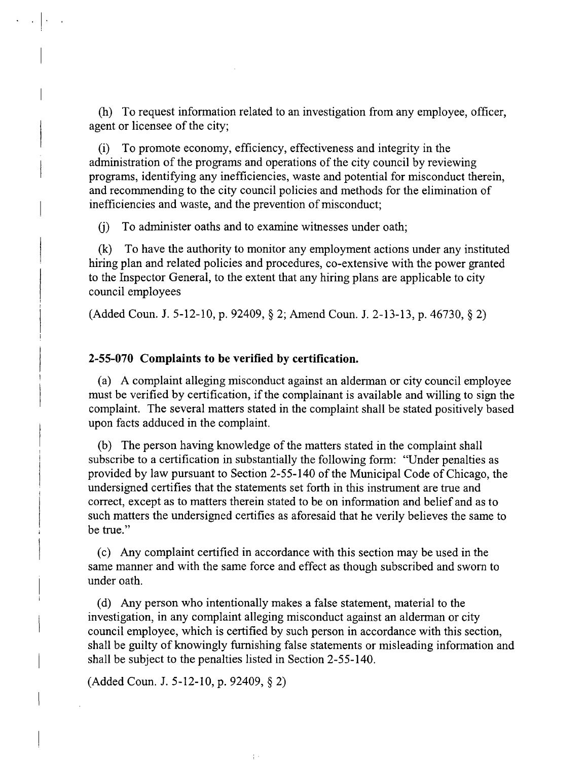(h) To request information related to an investigation from any employee, officer, agent or licensee of the city;

(i) To promote economy, efficiency, effectiveness and integrity in the administration of the programs and operations of the city council by reviewing programs, identifying any inefficiencies, waste and potential for misconduct therein, and recommending to the city council policies and methods for the elimination of inefficiencies and waste, and the prevention of misconduct;

(j) To administer oaths and to examine witnesses under oath;

(k) To have the authority to monitor any employment actions under any instituted hiring plan and related policies and procedures, co-extensive with the power granted to the Inspector General, to the extent that any hiring plans are applicable to city council employees

(Added Coun. J. 5-12-10, p. 92409, § 2; Amend Coun. J. 2-13-13, p. 46730, § 2)

# **2-55-070 Complaints to be verified by certification.**

(a) A complaint alleging misconduct against an aldennan or city council employee must be verified by certification, if the complainant is available and willing to sign the complaint. The several matters stated in the complaint shall be stated positively based upon facts adduced in the complaint.

(b) The person having knowledge of the matters stated in the complaint shall subscribe to a certification in substantially the following form: "Under penalties as provided by law pursuant to Section 2-55-140 of the Municipal Code of Chicago, the undersigned certifies that the statements set forth in this instrument are true and correct, except as to matters therein stated to be on information and belief and as to such matters the undersigned certifies as aforesaid that he verily believes the same to be tme."

(c) Any complaint certified in accordance with this section may be used in the same manner and with the same force and effect as though subscribed and swom to under oath.

(d) Any person who intentionally makes a false statement, material to the investigation, in any complaint alleging misconduct against an alderman or city council employee, which is certified by such person in accordance with this section, shall be guilty of knowingly fumishing false statements or misleading information and shall be subject to the penalties listed in Section 2-55-140.

(Added Coun. J. 5-12-10, p. 92409, § 2)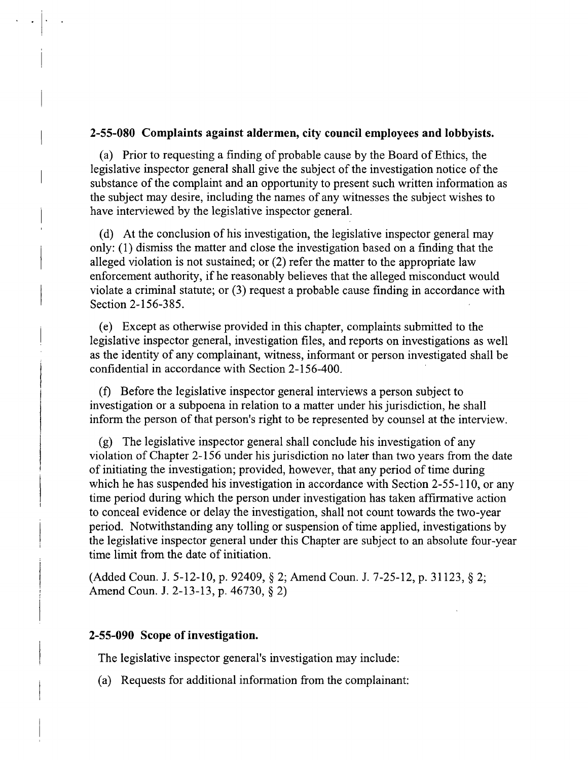# **2-55-080 Complaints against aldermen, city council employees and lobbyists.**

(a) Prior to requesting a finding of probable cause by the Board of Ethics, the legislative inspector general shall give the subject of the investigation notice of the substance of the complaint and an opportunity to present such written information as the subject may desire, including the names of any witnesses the subject wishes to have interviewed by the legislative inspector general.

(d) At the conclusion of his investigation, the legislative inspector general may only: (1) dismiss the matter and close the investigation based on a finding that the alleged violation is not sustained; or (2) refer the matter to the appropriate law enforcement authority, if he reasonably believes that the alleged misconduct would violate a criminal statute; or (3) request a probable cause finding in accordance with Section 2-156-385.

(e) Except as otherwise provided in this chapter, complaints submitted to the legislative inspector general, investigation files, and reports on investigations as well as the identity of any complainant, witness, informant or person investigated shall be confidential in accordance with Section 2-156-400.

(f) Before the legislative inspector general interviews a person subject to investigation or a subpoena in relation to a matter under his jurisdiction, he shall inform the person of that person's right to be represented by counsel at the interview.

(g) The legislative inspector general shall conclude his investigation of any violation of Chapter 2-156 under his jurisdiction no later than two years from the date of initiating the investigation; provided, however, that any period of time during which he has suspended his investigation in accordance with Section 2-55-110, or any time period during which the person under investigation has taken affirmative action to conceal evidence or delay the investigation, shall not count towards the two-year period. Notwithstanding any tolling or suspension of time applied, investigations by the legislative inspector general under this Chapter are subject to an absolute four-year time limit from the date of initiation.

(Added Coun. J. 5-12-10, p. 92409, § 2; Amend Coun. J. 7-25-12, p. 31123, § 2; Amend Coun. J. 2-13-13, p. 46730, § 2)

# **2-55-090 Scope of investigation.**

The legislative inspector general's investigation may include:

(a) Requests for additional infonnation from the complainant: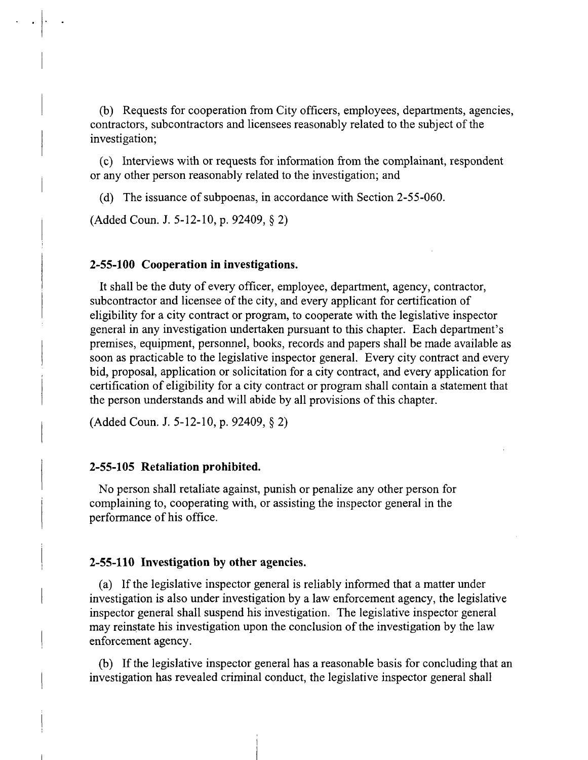(b) Requests for cooperation from City officers, employees, departments, agencies, contractors, subcontractors and licensees reasonably related to the subject of the investigation;

(c) Interviews with or requests for information from the complainant, respondent or any other person reasonably related to the investigation; and

(d) The issuance of subpoenas, in accordance with Section 2-55-060.

(Added Coun. J. 5-12-10, p. 92409, § 2)

#### **2-55-100 Cooperation in investigations.**

It shall be the duty of every officer, employee, department, agency, contractor, subcontractor and licensee of the city, and every applicant for certification of eligibility for a city contract or program, to cooperate with the legislative inspector general in any investigation undertaken pursuant to this chapter. Each department's premises, equipment, personnel, books, records and papers shall be made available as soon as practicable to the legislative inspector general. Every city contract and every bid, proposal, application or solicitation for a city contract, and every application for certification of eligibility for a city contract or program shall contain a statement that the person understands and will abide by all provisions of this chapter.

(Added Coun. J. 5-12-10, p. 92409, § 2)

#### **2-55-105 Retaliation prohibited.**

No person shall retaliate against, punish or penalize any other person for complaining to, cooperating with, or assisting the inspector general in the performance of his office.

#### **2-55-110 Investigation by other agencies.**

(a) If the legislative inspector general is reliably informed that a matter under investigation is also under investigation by a law enforcement agency, the legislative inspector general shall suspend his investigation. The legislative inspector general may reinstate his investigation upon the conclusion of the investigation by the law enforcement agency.

(b) If the legislative inspector general has a reasonable basis for concluding that an investigation has revealed criminal conduct, the legislative inspector general shall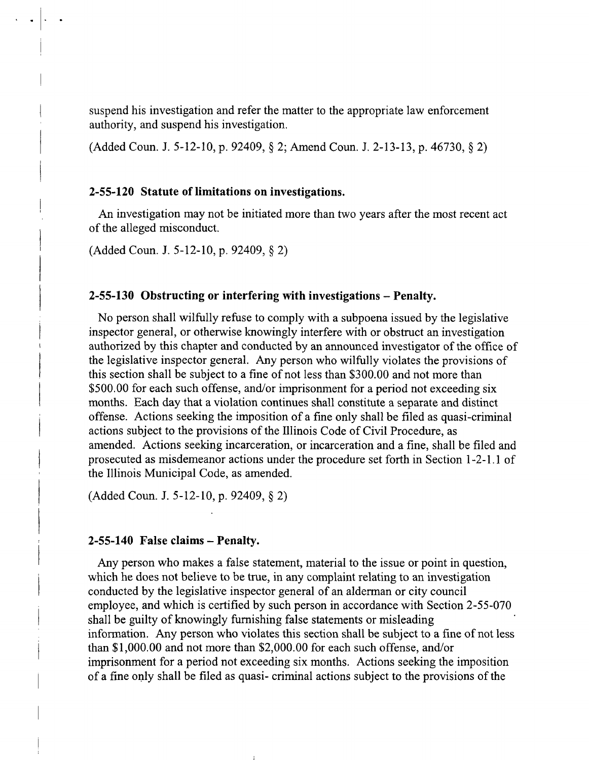suspend his investigation and refer the matter to the appropriate law enforcement authority, and suspend his investigation.

(Added Coun. J. 5-12-10, p. 92409, § 2; Amend Coun. J. 2-13-13, p. 46730, § 2)

### **2-55-120 Statute of limitations on investigations.**

An investigation may not be initiated more than two years after the most recent act of the alleged misconduct.

(Added Coun. J. 5-12-10, p. 92409, § 2)

# **2-55-130 Obstructing or interfering with investigations - Penalty.**

No person shall wilfully refuse to comply with a subpoena issued by the legislative inspector general, or otherwise knowingly interfere with or obstmct an investigation authorized by this chapter and conducted by an announced investigator of the office of the legislative inspector general. Any person who wilfully violates the provisions of this section shall be subject to a fine of not less than \$300.00 and not more than \$500.00 for each such offense, and/or imprisonment for a period not exceeding six months. Each day that a violation continues shall constitute a separate and distinct offense. Actions seeking the imposition of a fine only shall be filed as quasi-criminal actions subject to the provisions of the Illinois Code of Civil Procedure, as amended. Actions seeking incarceration, or incarceration and a fine, shall be filed and prosecuted as misdemeanor actions under the procedure set forth in Section 1-2-1.1 of the Illinois Municipal Code, as amended.

(Added Coun. J. 5-12-10, p. 92409, § 2)

# **2-55-140 False claims - Penalty.**

Any person who makes a false statement, material to the issue or point in question, which he does not believe to be true, in any complaint relating to an investigation conducted by the legislative inspector general of an alderman or city council employee, and which is certified by such person in accordance with Section 2-55-070 shall be guilty of knowingly fumishing false statements or misleading information. Any person who violates this section shall be subject to a fine of not less than \$1,000.00 and not more than \$2,000.00 for each such offense, and/or imprisonment for a period not exceeding six months. Actions seeking the imposition of a fine only shall be filed as quasi- criminal actions subject to the provisions of the